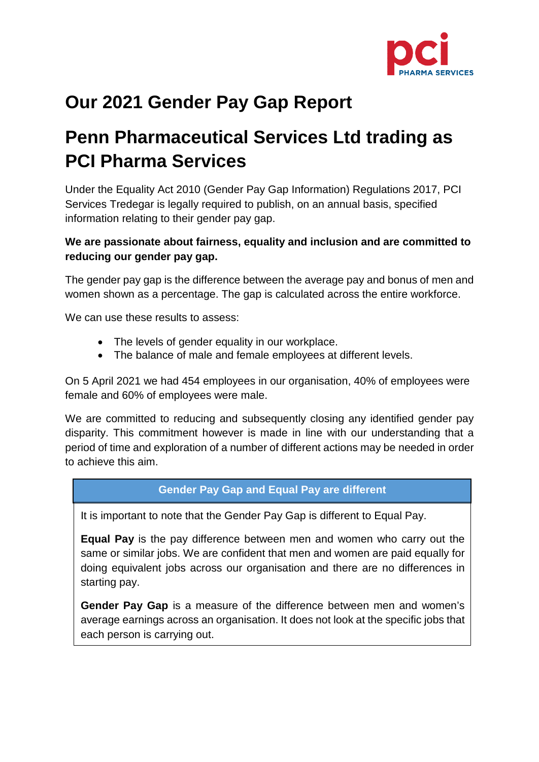

# **Our 2021 Gender Pay Gap Report**

# **Penn Pharmaceutical Services Ltd trading as PCI Pharma Services**

Under the Equality Act 2010 (Gender Pay Gap Information) Regulations 2017, PCI Services Tredegar is legally required to publish, on an annual basis, specified information relating to their gender pay gap.

### **We are passionate about fairness, equality and inclusion and are committed to reducing our gender pay gap.**

The gender pay gap is the difference between the average pay and bonus of men and women shown as a percentage. The gap is calculated across the entire workforce.

We can use these results to assess:

- The levels of gender equality in our workplace.
- The balance of male and female employees at different levels.

On 5 April 2021 we had 454 employees in our organisation, 40% of employees were female and 60% of employees were male.

We are committed to reducing and subsequently closing any identified gender pay disparity. This commitment however is made in line with our understanding that a period of time and exploration of a number of different actions may be needed in order to achieve this aim.

#### **Gender Pay Gap and Equal Pay are different**

It is important to note that the Gender Pay Gap is different to Equal Pay.

**Equal Pay** is the pay difference between men and women who carry out the same or similar jobs. We are confident that men and women are paid equally for doing equivalent jobs across our organisation and there are no differences in starting pay.

**Gender Pay Gap** is a measure of the difference between men and women's average earnings across an organisation. It does not look at the specific jobs that each person is carrying out.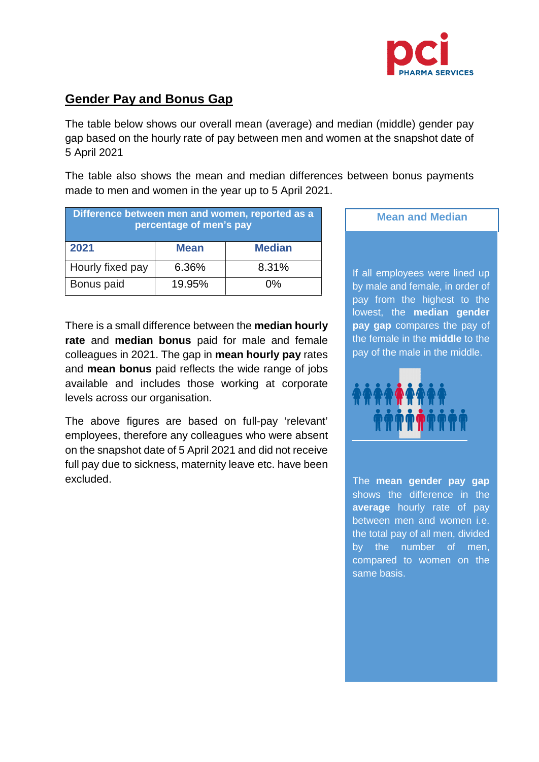

## **Gender Pay and Bonus Gap**

The table below shows our overall mean (average) and median (middle) gender pay gap based on the hourly rate of pay between men and women at the snapshot date of 5 April 2021

The table also shows the mean and median differences between bonus payments made to men and women in the year up to 5 April 2021.

| Difference between men and women, reported as a<br>percentage of men's pay |             |               |
|----------------------------------------------------------------------------|-------------|---------------|
| 2021                                                                       | <b>Mean</b> | <b>Median</b> |
| Hourly fixed pay                                                           | 6.36%       | 8.31%         |
| Bonus paid                                                                 | 19.95%      | በ%            |

There is a small difference between the **median hourly rate** and **median bonus** paid for male and female colleagues in 2021. The gap in **mean hourly pay** rates and **mean bonus** paid reflects the wide range of jobs available and includes those working at corporate levels across our organisation.

The above figures are based on full-pay 'relevant' employees, therefore any colleagues who were absent on the snapshot date of 5 April 2021 and did not receive full pay due to sickness, maternity leave etc. have been excluded.

**Mean and Median**  j

If all employees were lined up by male and female, in order of pay from the highest to the lowest, the **median gender pay gap** compares the pay of the female in the **middle** to the pay of the male in the middle.



The **mean gender pay gap** shows the difference in the **average** hourly rate of pay between men and women i.e. the total pay of all men, divided by the number of men, compared to women on the same basis.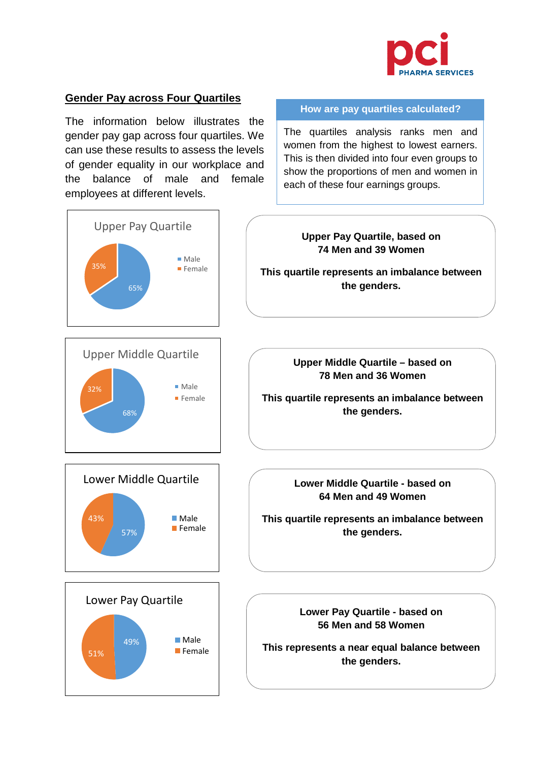

**How are pay quartiles calculated?**

The quartiles analysis ranks men and women from the highest to lowest earners. This is then divided into four even groups to show the proportions of men and women in

each of these four earnings groups.

#### **Gender Pay across Four Quartiles**

49%

■ Male  $\blacksquare$  Female

51%

The information below illustrates the gender pay gap across four quartiles. We can use these results to assess the levels of gender equality in our workplace and the balance of male and female employees at different levels.



**This represents a near equal balance between the genders.**